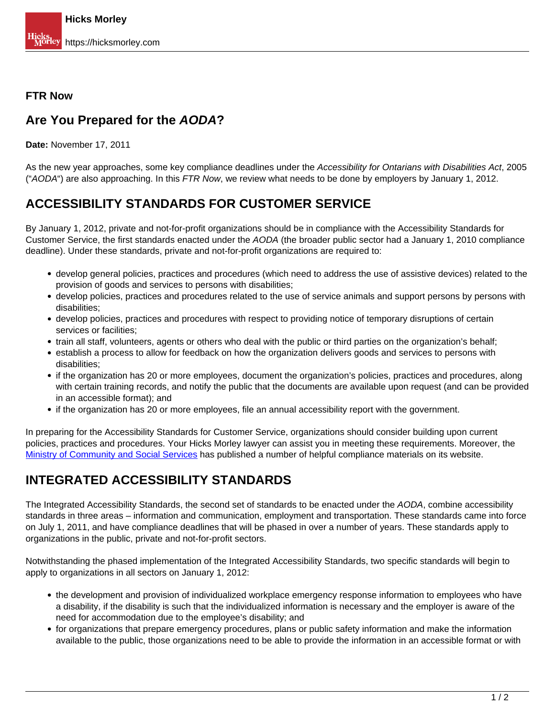## **FTR Now**

## **Are You Prepared for the AODA?**

**Date:** November 17, 2011

As the new year approaches, some key compliance deadlines under the Accessibility for Ontarians with Disabilities Act, 2005 ("AODA") are also approaching. In this FTR Now, we review what needs to be done by employers by January 1, 2012.

## **ACCESSIBILITY STANDARDS FOR CUSTOMER SERVICE**

By January 1, 2012, private and not-for-profit organizations should be in compliance with the Accessibility Standards for Customer Service, the first standards enacted under the AODA (the broader public sector had a January 1, 2010 compliance deadline). Under these standards, private and not-for-profit organizations are required to:

- develop general policies, practices and procedures (which need to address the use of assistive devices) related to the provision of goods and services to persons with disabilities;
- develop policies, practices and procedures related to the use of service animals and support persons by persons with disabilities;
- develop policies, practices and procedures with respect to providing notice of temporary disruptions of certain services or facilities;
- train all staff, volunteers, agents or others who deal with the public or third parties on the organization's behalf;
- establish a process to allow for feedback on how the organization delivers goods and services to persons with disabilities;
- if the organization has 20 or more employees, document the organization's policies, practices and procedures, along with certain training records, and notify the public that the documents are available upon request (and can be provided in an accessible format); and
- if the organization has 20 or more employees, file an annual accessibility report with the government.

In preparing for the Accessibility Standards for Customer Service, organizations should consider building upon current policies, practices and procedures. Your Hicks Morley lawyer can assist you in meeting these requirements. Moreover, the [Ministry of Community and Social Services](http://www.mcss.gov.on.ca/en/mcss/programs/accessibility/customerService/) has published a number of helpful compliance materials on its website.

## **INTEGRATED ACCESSIBILITY STANDARDS**

The Integrated Accessibility Standards, the second set of standards to be enacted under the AODA, combine accessibility standards in three areas – information and communication, employment and transportation. These standards came into force on July 1, 2011, and have compliance deadlines that will be phased in over a number of years. These standards apply to organizations in the public, private and not-for-profit sectors.

Notwithstanding the phased implementation of the Integrated Accessibility Standards, two specific standards will begin to apply to organizations in all sectors on January 1, 2012:

- the development and provision of individualized workplace emergency response information to employees who have a disability, if the disability is such that the individualized information is necessary and the employer is aware of the need for accommodation due to the employee's disability; and
- for organizations that prepare emergency procedures, plans or public safety information and make the information available to the public, those organizations need to be able to provide the information in an accessible format or with